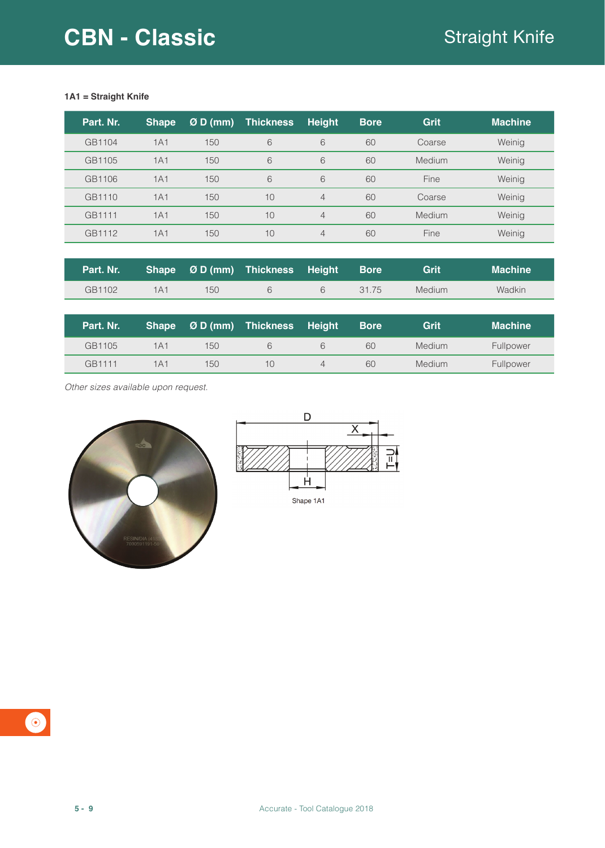## **1A1 = Straight Knife**

| Part. Nr. | <b>Shape</b> | $ØD$ (mm) | <b>Thickness</b> | <b>Height</b>  | <b>Bore</b> | Grit          | <b>Machine</b> |
|-----------|--------------|-----------|------------------|----------------|-------------|---------------|----------------|
| GB1104    | 1A1          | 150       | 6                | 6              | 60          | Coarse        | Weinig         |
| GB1105    | 1A1          | 150       | 6                | 6              | 60          | <b>Medium</b> | Weinig         |
| GB1106    | 1A1          | 150       | 6                | 6              | 60          | Fine          | Weinig         |
| GB1110    | 1A1          | 150       | 10               | $\overline{4}$ | 60          | Coarse        | Weinig         |
| GB1111    | 1A1          | 150       | 10               | $\overline{4}$ | 60          | <b>Medium</b> | Weinig         |
| GB1112    | 1A1          | 150       | 10               | $\overline{4}$ | 60          | Fine          | Weinig         |

|        |     |     | Part. Nr. Shape Ø D (mm) Thickness Height Bore |       | Grit   | <b>Machine</b> |
|--------|-----|-----|------------------------------------------------|-------|--------|----------------|
| GB1102 | 1A1 | 150 |                                                | 31 75 | Medium | Wadkin         |

| Part. Nr. |     | Shape $ØD$ (mm) | <b>Thickness Height</b> | <b>Bore</b> | Grit   | <b>Machine</b> |
|-----------|-----|-----------------|-------------------------|-------------|--------|----------------|
| GB1105    | 1A1 | 150             | 6                       | 60          | Medium | Fullpower      |
| GB1111    | 1A1 | 150             | 10                      | 60          | Medium | Fullpower      |

*Other sizes available upon request.*





 $\bullet$